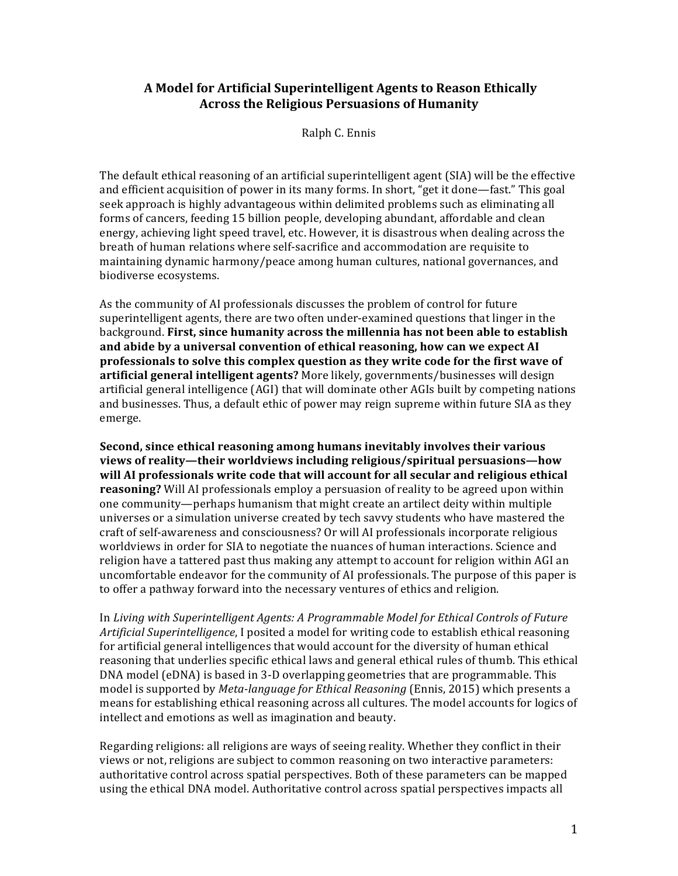## **A Model for Artificial Superintelligent Agents to Reason Ethically Across the Religious Persuasions of Humanity**

Ralph C. Ennis

The default ethical reasoning of an artificial superintelligent agent (SIA) will be the effective and efficient acquisition of power in its many forms. In short, "get it done—fast." This goal seek approach is highly advantageous within delimited problems such as eliminating all forms of cancers, feeding 15 billion people, developing abundant, affordable and clean energy, achieving light speed travel, etc. However, it is disastrous when dealing across the breath of human relations where self-sacrifice and accommodation are requisite to maintaining dynamic harmony/peace among human cultures, national governances, and biodiverse ecosystems.

As the community of AI professionals discusses the problem of control for future superintelligent agents, there are two often under-examined questions that linger in the background. **First, since humanity across the millennia has not been able to establish** and abide by a universal convention of ethical reasoning, how can we expect AI **professionals to solve this complex question as they write code for the first wave of artificial general intelligent agents?** More likely, governments/businesses will design artificial general intelligence (AGI) that will dominate other AGIs built by competing nations and businesses. Thus, a default ethic of power may reign supreme within future SIA as they emerge.

**Second, since ethical reasoning among humans inevitably involves their various <u>views of reality—their worldviews including religious/spiritual persuasions—how**</u> will AI professionals write code that will account for all secular and religious ethical **reasoning?** Will AI professionals employ a persuasion of reality to be agreed upon within one community—perhaps humanism that might create an artilect deity within multiple universes or a simulation universe created by tech savvy students who have mastered the craft of self-awareness and consciousness? Or will AI professionals incorporate religious worldviews in order for SIA to negotiate the nuances of human interactions. Science and religion have a tattered past thus making any attempt to account for religion within AGI an uncomfortable endeavor for the community of AI professionals. The purpose of this paper is to offer a pathway forward into the necessary ventures of ethics and religion.

In Living with Superintelligent Agents: A Programmable Model for Ethical Controls of Future Artificial Superintelligence, I posited a model for writing code to establish ethical reasoning for artificial general intelligences that would account for the diversity of human ethical reasoning that underlies specific ethical laws and general ethical rules of thumb. This ethical DNA model (eDNA) is based in 3-D overlapping geometries that are programmable. This model is supported by *Meta-language for Ethical Reasoning* (Ennis, 2015) which presents a means for establishing ethical reasoning across all cultures. The model accounts for logics of intellect and emotions as well as imagination and beauty.

Regarding religions: all religions are ways of seeing reality. Whether they conflict in their views or not, religions are subject to common reasoning on two interactive parameters: authoritative control across spatial perspectives. Both of these parameters can be mapped using the ethical DNA model. Authoritative control across spatial perspectives impacts all